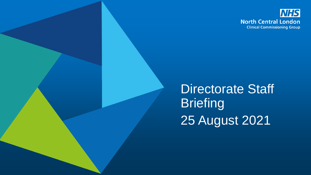

Directorate Staff **Briefing** 25 August 2021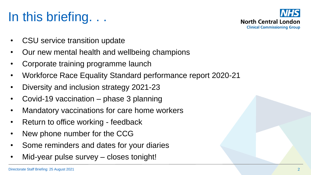# In this briefing. . .



- CSU service transition update
- Our new mental health and wellbeing champions
- Corporate training programme launch
- Workforce Race Equality Standard performance report 2020-21
- Diversity and inclusion strategy 2021-23
- Covid-19 vaccination phase 3 planning
- Mandatory vaccinations for care home workers
- Return to office working feedback
- New phone number for the CCG
- Some reminders and dates for your diaries
- Mid-year pulse survey closes tonight!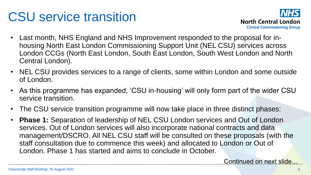### CSU service transition



- Last month, NHS England and NHS Improvement responded to the proposal for inhousing North East London Commissioning Support Unit (NEL CSU) services across London CCGs (North East London, South East London, South West London and North Central London).
- NEL CSU provides services to a range of clients, some within London and some outside of London.
- As this programme has expanded, 'CSU in-housing' will only form part of the wider CSU service transition.
- The CSU service transition programme will now take place in three distinct phases:
- **Phase 1:** Separation of leadership of NEL CSU London services and Out of London services. Out of London services will also incorporate national contracts and data management/DSCRO. All NEL CSU staff will be consulted on these proposals (with the staff consultation due to commence this week) and allocated to London or Out of London. Phase 1 has started and aims to conclude in October.

Continued on next slide…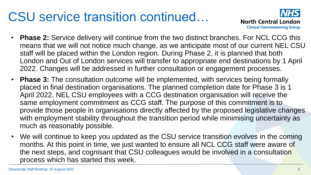### CSU service transition continued…



- **Phase 2:** Service delivery will continue from the two distinct branches. For NCL CCG this means that we will not notice much change, as we anticipate most of our current NEL CSU staff will be placed within the London region. During Phase 2, it is planned that both London and Out of London services will transfer to appropriate end destinations by 1 April 2022. Changes will be addressed in further consultation or engagement processes.
- **Phase 3:** The consultation outcome will be implemented, with services being formally placed in final destination organisations. The planned completion date for Phase 3 is 1 April 2022. NEL CSU employees with a CCG destination organisation will receive the same employment commitment as CCG staff. The purpose of this commitment is to provide those people in organisations directly affected by the proposed legislative changes with employment stability throughout the transition period while minimising uncertainty as much as reasonably possible.
- We will continue to keep you updated as the CSU service transition evolves in the coming months. At this point in time, we just wanted to ensure all NCL CCG staff were aware of the next steps, and cognisant that CSU colleagues would be involved in a consultation process which has started this week.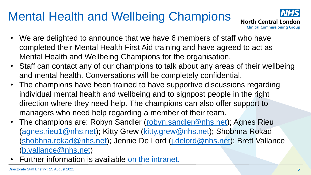#### Mental Health and Wellbeing Champions



- We are delighted to announce that we have 6 members of staff who have completed their Mental Health First Aid training and have agreed to act as Mental Health and Wellbeing Champions for the organisation.
- Staff can contact any of our champions to talk about any areas of their wellbeing and mental health. Conversations will be completely confidential.
- The champions have been trained to have supportive discussions regarding individual mental health and wellbeing and to signpost people in the right direction where they need help. The champions can also offer support to managers who need help regarding a member of their team.
- The champions are: Robyn Sandler ([robyn.sandler@nhs.net\)](mailto:robyn.sandler@nhs.net); Agnes Rieu ([agnes.rieu1@nhs.net\)](mailto:agnes.rieu1@nhs.net); Kitty Grew ([kitty.grew@nhs.net\)](mailto:kitty.grew@nhs.net); Shobhna Rokad ([shobhna.rokad@nhs.net](mailto:shobhna.rokad@nhs.net)); Jennie De Lord [\(j.delord@nhs.net\)](mailto:j.delord@nhs.net); Brett Vallance ([b.vallance@nhs.net\)](mailto:b.vallance@nhs.net)
- Further information is available on the intranet.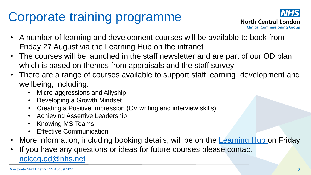# Corporate training programme



- A number of learning and development courses will be available to book from Friday 27 August via the Learning Hub on the intranet
- The courses will be launched in the staff newsletter and are part of our OD plan which is based on themes from appraisals and the staff survey
- There are a range of courses available to support staff learning, development and wellbeing, including:
	- Micro-aggressions and Allyship
	- Developing a Growth Mindset
	- Creating a Positive Impression (CV writing and interview skills)
	- Achieving Assertive Leadership
	- Knowing MS Teams
	- **Effective Communication**
- More information, including booking details, will be on the **Learning Hub** on Friday
- If you have any questions or ideas for future courses please contact [nclccg.od@nhs.net](mailto:nclccg.od@nhs.net)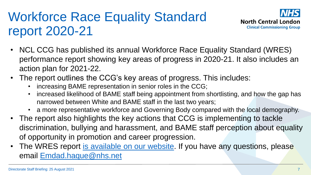### Workforce Race Equality Standard report 2020-21



- NCL CCG has published its annual Workforce Race Equality Standard (WRES) performance report showing key areas of progress in 2020-21. It also includes an action plan for 2021-22.
- The report outlines the CCG's key areas of progress. This includes:
	- increasing BAME representation in senior roles in the CCG;
	- increased likelihood of BAME staff being appointment from shortlisting, and how the gap has narrowed between White and BAME staff in the last two years;
	- a more representative workforce and Governing Body compared with the local demography.
- The report also highlights the key actions that CCG is implementing to tackle discrimination, bullying and harassment, and BAME staff perception about equality of opportunity in promotion and career progression.
- The WRES report [is available on our website](https://northcentrallondonccg.nhs.uk/wp-content/uploads/2021/08/Workforce-Race-Equality-Standard-Report-2020-21.pdf). If you have any questions, please email [Emdad.haque@nhs.net](mailto:Emdad.haque@nhs.net)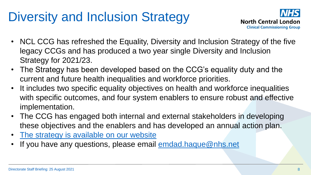# Diversity and Inclusion Strategy



- NCL CCG has refreshed the Equality, Diversity and Inclusion Strategy of the five legacy CCGs and has produced a two year single Diversity and Inclusion Strategy for 2021/23.
- The Strategy has been developed based on the CCG's equality duty and the current and future health inequalities and workforce priorities.
- It includes two specific equality objectives on health and workforce inequalities with specific outcomes, and four system enablers to ensure robust and effective implementation.
- The CCG has engaged both internal and external stakeholders in developing these objectives and the enablers and has developed an annual action plan.
- [The strategy is available on our website](https://northcentrallondonccg.nhs.uk/wp-content/uploads/2021/08/Diversity-and-inclusion-strategy.pdf)
- If you have any questions, please email [emdad.haque@nhs.net](mailto:emdad.haque@nhs.net)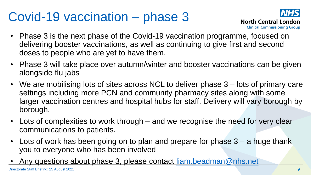#### Covid-19 vaccination – phase 3



- Phase 3 is the next phase of the Covid-19 vaccination programme, focused on delivering booster vaccinations, as well as continuing to give first and second doses to people who are yet to have them.
- Phase 3 will take place over autumn/winter and booster vaccinations can be given alongside flu jabs
- We are mobilising lots of sites across NCL to deliver phase 3 lots of primary care settings including more PCN and community pharmacy sites along with some larger vaccination centres and hospital hubs for staff. Delivery will vary borough by borough.
- Lots of complexities to work through and we recognise the need for very clear communications to patients.
- Lots of work has been going on to plan and prepare for phase 3 a huge thank you to everyone who has been involved
- Any questions about phase 3, please contact [liam.beadman@nhs.net](mailto:liam.beadman@nhs.net)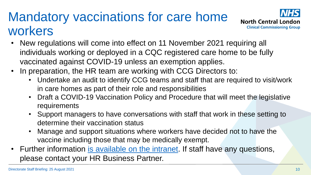### Mandatory vaccinations for care home workers



- New regulations will come into effect on 11 November 2021 requiring all individuals working or deployed in a CQC registered care home to be fully vaccinated against COVID-19 unless an exemption applies.
- In preparation, the HR team are working with CCG Directors to:
	- Undertake an audit to identify CCG teams and staff that are required to visit/work in care homes as part of their role and responsibilities
	- Draft a COVID-19 Vaccination Policy and Procedure that will meet the legislative requirements
	- Support managers to have conversations with staff that work in these setting to determine their vaccination status
	- Manage and support situations where workers have decided not to have the vaccine including those that may be medically exempt.
- Further information [is available on the intranet.](https://intranet.northcentrallondonccg.nhs.uk/ncl-news/mandatory-vaccinations-care-home-workers/473002) If staff have any questions, please contact your HR Business Partner.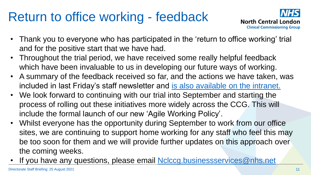### Return to office working - feedback



- Thank you to everyone who has participated in the 'return to office working' trial and for the positive start that we have had.
- Throughout the trial period, we have received some really helpful feedback which have been invaluable to us in developing our future ways of working.
- A summary of the feedback received so far, and the actions we have taken, was included in last Friday's staff newsletter and [is also available on the intranet.](https://intranet.northcentrallondonccg.nhs.uk/ncl-news/returning-to-office-working-feedback/472966)
- We look forward to continuing with our trial into September and starting the process of rolling out these initiatives more widely across the CCG. This will include the formal launch of our new 'Agile Working Policy'.
- Whilst everyone has the opportunity during September to work from our office sites, we are continuing to support home working for any staff who feel this may be too soon for them and we will provide further updates on this approach over the coming weeks.
- If you have any questions, please email [Nclccg.businessservices@nhs.net](mailto:Nclccg.businessservices@nhs.net)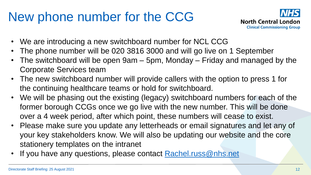### New phone number for the CCG



- We are introducing a new switchboard number for NCL CCG
- The phone number will be 020 3816 3000 and will go live on 1 September
- The switchboard will be open 9am 5pm, Monday Friday and managed by the Corporate Services team
- The new switchboard number will provide callers with the option to press 1 for the continuing healthcare teams or hold for switchboard.
- We will be phasing out the existing (legacy) switchboard numbers for each of the former borough CCGs once we go live with the new number. This will be done over a 4 week period, after which point, these numbers will cease to exist.
- Please make sure you update any letterheads or email signatures and let any of your key stakeholders know. We will also be updating our website and the core stationery templates on the intranet
- If you have any questions, please contact [Rachel.russ@nhs.net](mailto:Rachel.russ@nhs.net)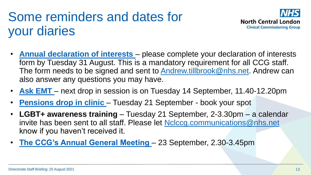## Some reminders and dates for your diaries



- **[Annual declaration of interests](https://intranet.northcentrallondonccg.nhs.uk/ncl-news/conflicts-of-interest-be-sure-to-complete-the-annual-refresh/471331)**  please complete your declaration of interests form by Tuesday 31 August. This is a mandatory requirement for all CCG staff. The form needs to be signed and sent to **Andrew.tillbrook@nhs.net**. Andrew can also answer any questions you may have.
- **[Ask EMT](https://intranet.northcentrallondonccg.nhs.uk/working/ask-emt.htm)**  next drop in session is on Tuesday 14 September, 11.40-12.20pm
- **Pensions drop in clinic** Tuesday 21 September book your spot
- **LGBT+ awareness training**  Tuesday 21 September, 2-3.30pm a calendar invite has been sent to all staff. Please let [Nclccg.communications@nhs.net](mailto:Nclccg.communications@nhs.net) know if you haven't received it.
- **[The CCG's Annual General Meeting](https://northcentrallondonccg.nhs.uk/news/north-central-london-ccg-annual-general-meeting-2020-2021-save-the-date-thursday-23-september-2021/)**  23 September, 2.30-3.45pm